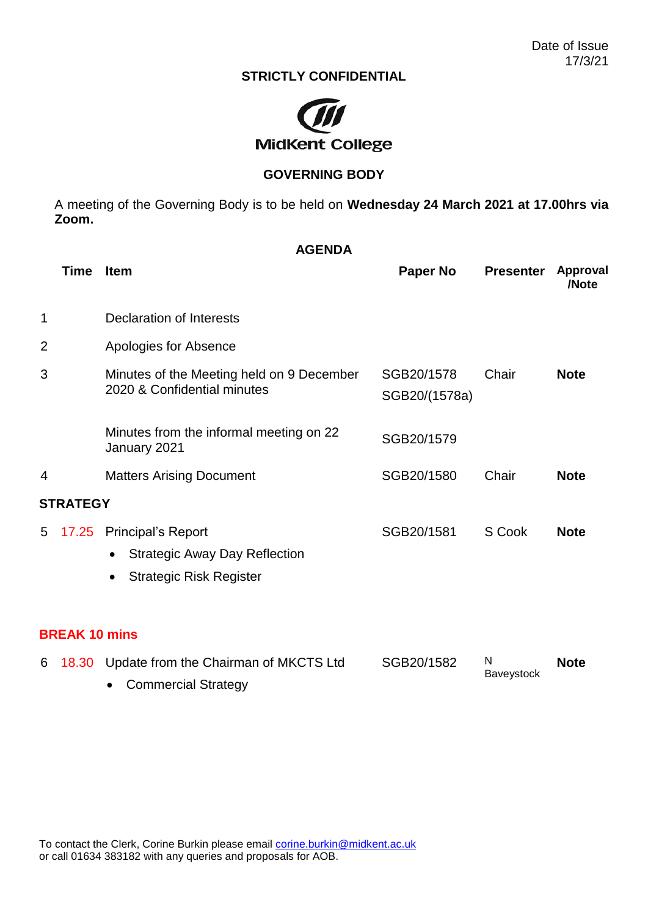## **STRICTLY CONFIDENTIAL**



## **GOVERNING BODY**

A meeting of the Governing Body is to be held on **Wednesday 24 March 2021 at 17.00hrs via Zoom.**

| <b>AGENDA</b>        |                                                                                                                       |                             |                  |                   |  |  |
|----------------------|-----------------------------------------------------------------------------------------------------------------------|-----------------------------|------------------|-------------------|--|--|
| <b>Time</b>          | <b>Item</b>                                                                                                           | <b>Paper No</b>             | <b>Presenter</b> | Approval<br>/Note |  |  |
| 1                    | <b>Declaration of Interests</b>                                                                                       |                             |                  |                   |  |  |
| 2                    | Apologies for Absence                                                                                                 |                             |                  |                   |  |  |
| 3                    | Minutes of the Meeting held on 9 December<br>2020 & Confidential minutes                                              | SGB20/1578<br>SGB20/(1578a) | Chair            | <b>Note</b>       |  |  |
|                      | Minutes from the informal meeting on 22<br>January 2021                                                               | SGB20/1579                  |                  |                   |  |  |
| 4                    | <b>Matters Arising Document</b>                                                                                       | SGB20/1580                  | Chair            | <b>Note</b>       |  |  |
| <b>STRATEGY</b>      |                                                                                                                       |                             |                  |                   |  |  |
| 17.25<br>5           | <b>Principal's Report</b><br><b>Strategic Away Day Reflection</b><br>٠<br><b>Strategic Risk Register</b><br>$\bullet$ | SGB20/1581                  | S Cook           | <b>Note</b>       |  |  |
| <b>BREAK 10 mins</b> |                                                                                                                       |                             |                  |                   |  |  |

|  |  | 6 18.30 Update from the Chairman of MKCTS Ltd | SGB20/1582 |            | Note |
|--|--|-----------------------------------------------|------------|------------|------|
|  |  | • Commercial Strategy                         |            | Baveystock |      |
|  |  |                                               |            |            |      |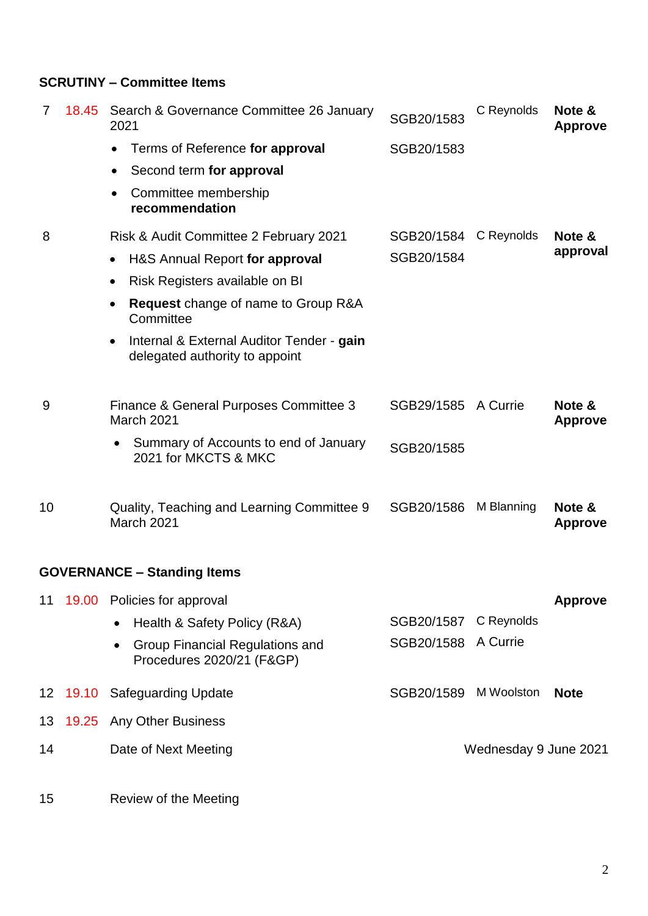## **SCRUTINY – Committee Items**

| 7  |          | 18.45 Search & Governance Committee 26 January<br>2021                                   | SGB20/1583 | C Reynolds            | Note &<br><b>Approve</b> |
|----|----------|------------------------------------------------------------------------------------------|------------|-----------------------|--------------------------|
|    |          | Terms of Reference for approval                                                          | SGB20/1583 |                       |                          |
|    |          | Second term for approval<br>٠                                                            |            |                       |                          |
|    |          | Committee membership<br>recommendation                                                   |            |                       |                          |
| 8  |          | Risk & Audit Committee 2 February 2021                                                   | SGB20/1584 | C Reynolds            | Note &<br>approval       |
|    |          | H&S Annual Report for approval<br>$\bullet$                                              | SGB20/1584 |                       |                          |
|    |          | Risk Registers available on BI<br>٠                                                      |            |                       |                          |
|    |          | Request change of name to Group R&A<br>$\bullet$<br>Committee                            |            |                       |                          |
|    |          | Internal & External Auditor Tender - gain<br>$\bullet$<br>delegated authority to appoint |            |                       |                          |
| 9  |          | Finance & General Purposes Committee 3<br>March 2021                                     | SGB29/1585 | A Currie              | Note &<br><b>Approve</b> |
|    |          | Summary of Accounts to end of January<br>2021 for MKCTS & MKC                            | SGB20/1585 |                       |                          |
| 10 |          | Quality, Teaching and Learning Committee 9<br>March 2021                                 | SGB20/1586 | M Blanning            | Note &<br><b>Approve</b> |
|    |          | <b>GOVERNANCE - Standing Items</b>                                                       |            |                       |                          |
| 11 |          | 19.00 Policies for approval                                                              |            |                       | <b>Approve</b>           |
|    |          | Health & Safety Policy (R&A)                                                             | SGB20/1587 | C Reynolds            |                          |
|    |          | Group Financial Regulations and<br>Procedures 2020/21 (F&GP)                             | SGB20/1588 | A Currie              |                          |
|    | 12 19.10 | <b>Safeguarding Update</b>                                                               | SGB20/1589 | M Woolston            | <b>Note</b>              |
| 13 |          | 19.25 Any Other Business                                                                 |            |                       |                          |
| 14 |          | Date of Next Meeting                                                                     |            | Wednesday 9 June 2021 |                          |

15 Review of the Meeting